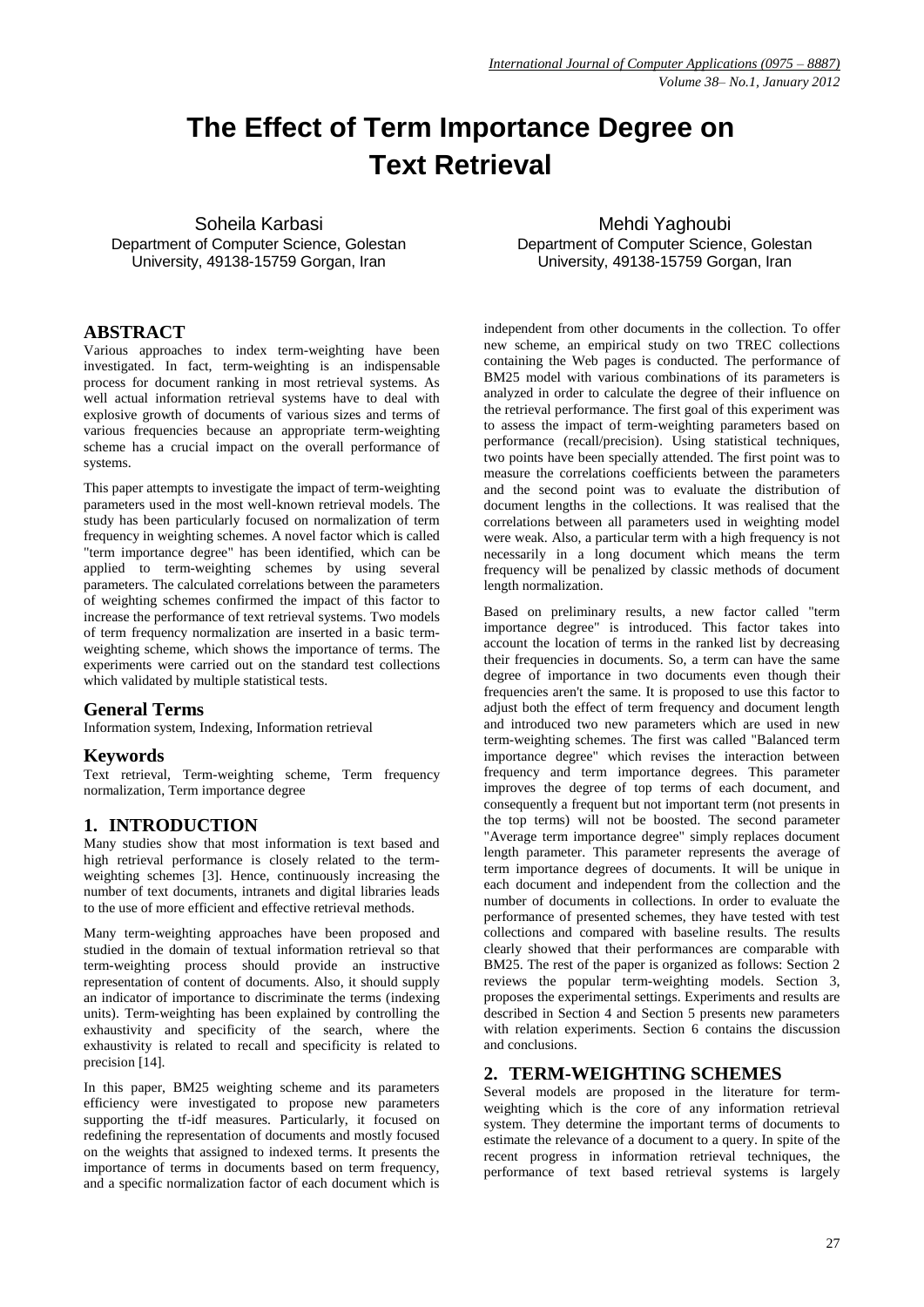# **The Effect of Term Importance Degree on Text Retrieval**

Soheila Karbasi Department of Computer Science, Golestan University, 49138-15759 Gorgan, Iran

# **ABSTRACT**

Various approaches to index term-weighting have been investigated. In fact, term-weighting is an indispensable process for document ranking in most retrieval systems. As well actual information retrieval systems have to deal with explosive growth of documents of various sizes and terms of various frequencies because an appropriate term-weighting scheme has a crucial impact on the overall performance of systems.

This paper attempts to investigate the impact of term-weighting parameters used in the most well-known retrieval models. The study has been particularly focused on normalization of term frequency in weighting schemes. A novel factor which is called "term importance degree" has been identified, which can be applied to term-weighting schemes by using several parameters. The calculated correlations between the parameters of weighting schemes confirmed the impact of this factor to increase the performance of text retrieval systems. Two models of term frequency normalization are inserted in a basic termweighting scheme, which shows the importance of terms. The experiments were carried out on the standard test collections which validated by multiple statistical tests.

#### **General Terms**

Information system, Indexing, Information retrieval

#### **Keywords**

Text retrieval, Term-weighting scheme, Term frequency normalization, Term importance degree

#### **1. INTRODUCTION**

Many studies show that most information is text based and high retrieval performance is closely related to the termweighting schemes [3]. Hence, continuously increasing the number of text documents, intranets and digital libraries leads to the use of more efficient and effective retrieval methods.

Many term-weighting approaches have been proposed and studied in the domain of textual information retrieval so that term-weighting process should provide an instructive representation of content of documents. Also, it should supply an indicator of importance to discriminate the terms (indexing units). Term-weighting has been explained by controlling the exhaustivity and specificity of the search, where the exhaustivity is related to recall and specificity is related to precision [14].

In this paper, BM25 weighting scheme and its parameters efficiency were investigated to propose new parameters supporting the tf-idf measures. Particularly, it focused on redefining the representation of documents and mostly focused on the weights that assigned to indexed terms. It presents the importance of terms in documents based on term frequency, and a specific normalization factor of each document which is

Mehdi Yaghoubi Department of Computer Science, Golestan University, 49138-15759 Gorgan, Iran

independent from other documents in the collection. To offer new scheme, an empirical study on two TREC collections containing the Web pages is conducted. The performance of BM25 model with various combinations of its parameters is analyzed in order to calculate the degree of their influence on the retrieval performance. The first goal of this experiment was to assess the impact of term-weighting parameters based on performance (recall/precision). Using statistical techniques, two points have been specially attended. The first point was to measure the correlations coefficients between the parameters and the second point was to evaluate the distribution of document lengths in the collections. It was realised that the correlations between all parameters used in weighting model were weak. Also, a particular term with a high frequency is not necessarily in a long document which means the term frequency will be penalized by classic methods of document length normalization.

Based on preliminary results, a new factor called "term importance degree" is introduced. This factor takes into account the location of terms in the ranked list by decreasing their frequencies in documents. So, a term can have the same degree of importance in two documents even though their frequencies aren't the same. It is proposed to use this factor to adjust both the effect of term frequency and document length and introduced two new parameters which are used in new term-weighting schemes. The first was called "Balanced term importance degree" which revises the interaction between frequency and term importance degrees. This parameter improves the degree of top terms of each document, and consequently a frequent but not important term (not presents in the top terms) will not be boosted. The second parameter "Average term importance degree" simply replaces document length parameter. This parameter represents the average of term importance degrees of documents. It will be unique in each document and independent from the collection and the number of documents in collections. In order to evaluate the performance of presented schemes, they have tested with test collections and compared with baseline results. The results clearly showed that their performances are comparable with BM25. The rest of the paper is organized as follows: Section 2 reviews the popular term-weighting models. Section 3, proposes the experimental settings. Experiments and results are described in Section 4 and Section 5 presents new parameters with relation experiments. Section 6 contains the discussion and conclusions.

#### **2. TERM-WEIGHTING SCHEMES**

Several models are proposed in the literature for termweighting which is the core of any information retrieval system. They determine the important terms of documents to estimate the relevance of a document to a query. In spite of the recent progress in information retrieval techniques, the performance of text based retrieval systems is largely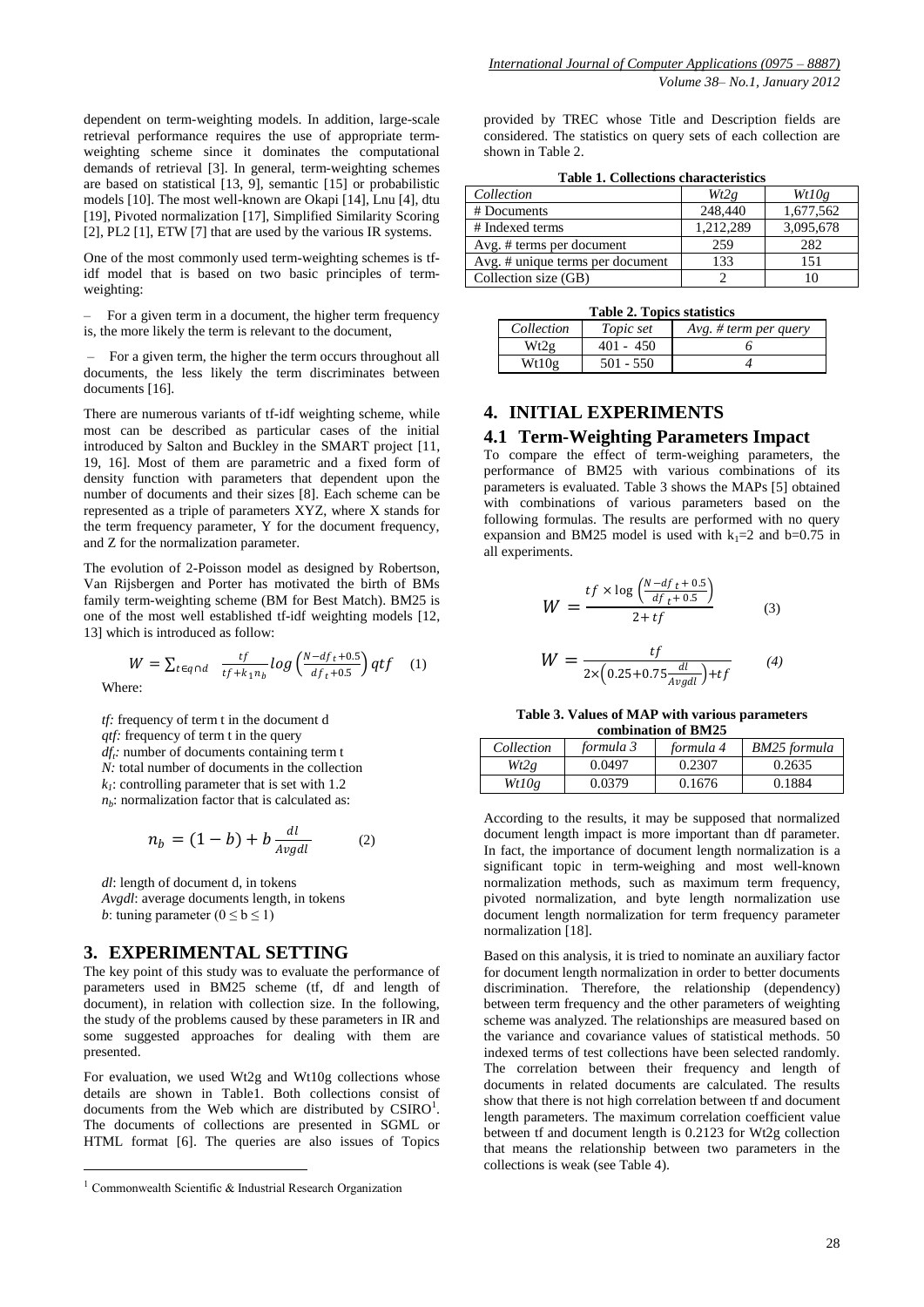dependent on term-weighting models. In addition, large-scale retrieval performance requires the use of appropriate termweighting scheme since it dominates the computational demands of retrieval [3]. In general, term-weighting schemes are based on statistical [13, 9], semantic [15] or probabilistic models [10]. The most well-known are Okapi [14], Lnu [4], dtu [19], Pivoted normalization [17], Simplified Similarity Scoring [2], PL2 [1], ETW [7] that are used by the various IR systems.

One of the most commonly used term-weighting schemes is tfidf model that is based on two basic principles of termweighting:

– For a given term in a document, the higher term frequency is, the more likely the term is relevant to the document,

– For a given term, the higher the term occurs throughout all documents, the less likely the term discriminates between documents [16].

There are numerous variants of tf-idf weighting scheme, while most can be described as particular cases of the initial introduced by Salton and Buckley in the SMART project [11, 19, 16]. Most of them are parametric and a fixed form of density function with parameters that dependent upon the number of documents and their sizes [8]. Each scheme can be represented as a triple of parameters XYZ, where X stands for the term frequency parameter, Y for the document frequency, and Z for the normalization parameter.

The evolution of 2-Poisson model as designed by Robertson, Van Rijsbergen and Porter has motivated the birth of BMs family term-weighting scheme (BM for Best Match). BM25 is one of the most well established tf-idf weighting models [12, 13] which is introduced as follow:

$$
W = \sum_{t \in q \cap d} \frac{tf}{tf + k_1 n_b} \log \left( \frac{N - df_t + 0.5}{df_t + 0.5} \right) qtf \quad (1)
$$

Where:

1

*tf:* frequency of term t in the document d *qtf:* frequency of term t in the query *dft :* number of documents containing term t *N:* total number of documents in the collection *k1* : controlling parameter that is set with 1.2 *nb* : normalization factor that is calculated as:

$$
n_b = (1 - b) + b \frac{dl}{Avgdl} \tag{2}
$$

*dl*: length of document d, in tokens *Avgdl*: average documents length, in tokens *b*: tuning parameter  $(0 \le b \le 1)$ 

# **3. EXPERIMENTAL SETTING**

The key point of this study was to evaluate the performance of parameters used in BM25 scheme (tf, df and length of document), in relation with collection size. In the following, the study of the problems caused by these parameters in IR and some suggested approaches for dealing with them are presented.

For evaluation, we used Wt2g and Wt10g collections whose details are shown in Table1. Both collections consist of documents from the Web which are distributed by  $CSIRO^1$ . The documents of collections are presented in SGML or HTML format [6]. The queries are also issues of Topics

provided by TREC whose Title and Description fields are considered. The statistics on query sets of each collection are shown in Table 2.

**Table 1. Collections characteristics**

| Collection                       | Wt2g      | Wt10g     |
|----------------------------------|-----------|-----------|
| # Documents                      | 248,440   | 1,677,562 |
| # Indexed terms                  | 1,212,289 | 3,095,678 |
| Avg. # terms per document        | 259       | 282       |
| Avg. # unique terms per document | 133       | 151       |
| Collection size (GB)             |           |           |

|  |  |  | <b>Table 2. Topics statistics</b> |
|--|--|--|-----------------------------------|
|--|--|--|-----------------------------------|

| $\sim$ 40010 $\sim$ 1 $\sim$ 00100 0010100100 |             |                       |  |  |  |
|-----------------------------------------------|-------------|-----------------------|--|--|--|
| Collection                                    | Topic set   | Avg. # term per query |  |  |  |
| Wt2g                                          | $401 - 450$ |                       |  |  |  |
| Wt10g                                         | $501 - 550$ |                       |  |  |  |
|                                               |             |                       |  |  |  |

# **4. INITIAL EXPERIMENTS**

# **4.1 Term-Weighting Parameters Impact**

To compare the effect of term-weighing parameters, the performance of BM25 with various combinations of its parameters is evaluated. Table 3 shows the MAPs [5] obtained with combinations of various parameters based on the following formulas. The results are performed with no query expansion and BM25 model is used with  $k_1=2$  and b=0.75 in all experiments.

$$
W = \frac{tf \times \log\left(\frac{N - df_t + 0.5}{df_t + 0.5}\right)}{2 + tf}
$$
 (3)

$$
W = \frac{tf}{2 \times (0.25 + 0.75 \frac{dl}{Avgdl}) + tf}
$$
 (4)

**Table 3. Values of MAP with various parameters combination of BM25**

| Collection | formula 3 | formula 4 | BM25 formula |
|------------|-----------|-----------|--------------|
| Wt2g       | 0.0497    | 0.2307    | 0.2635       |
| Wt10g      | 0.0379    | 0.1676    | 0.1884       |

According to the results, it may be supposed that normalized document length impact is more important than df parameter. In fact, the importance of document length normalization is a significant topic in term-weighing and most well-known normalization methods, such as maximum term frequency, pivoted normalization, and byte length normalization use document length normalization for term frequency parameter normalization [18].

Based on this analysis, it is tried to nominate an auxiliary factor for document length normalization in order to better documents discrimination. Therefore, the relationship (dependency) between term frequency and the other parameters of weighting scheme was analyzed. The relationships are measured based on the variance and covariance values of statistical methods. 50 indexed terms of test collections have been selected randomly. The correlation between their frequency and length of documents in related documents are calculated. The results show that there is not high correlation between tf and document length parameters. The maximum correlation coefficient value between tf and document length is 0.2123 for Wt2g collection that means the relationship between two parameters in the collections is weak (see Table 4).

<sup>&</sup>lt;sup>1</sup> Commonwealth Scientific & Industrial Research Organization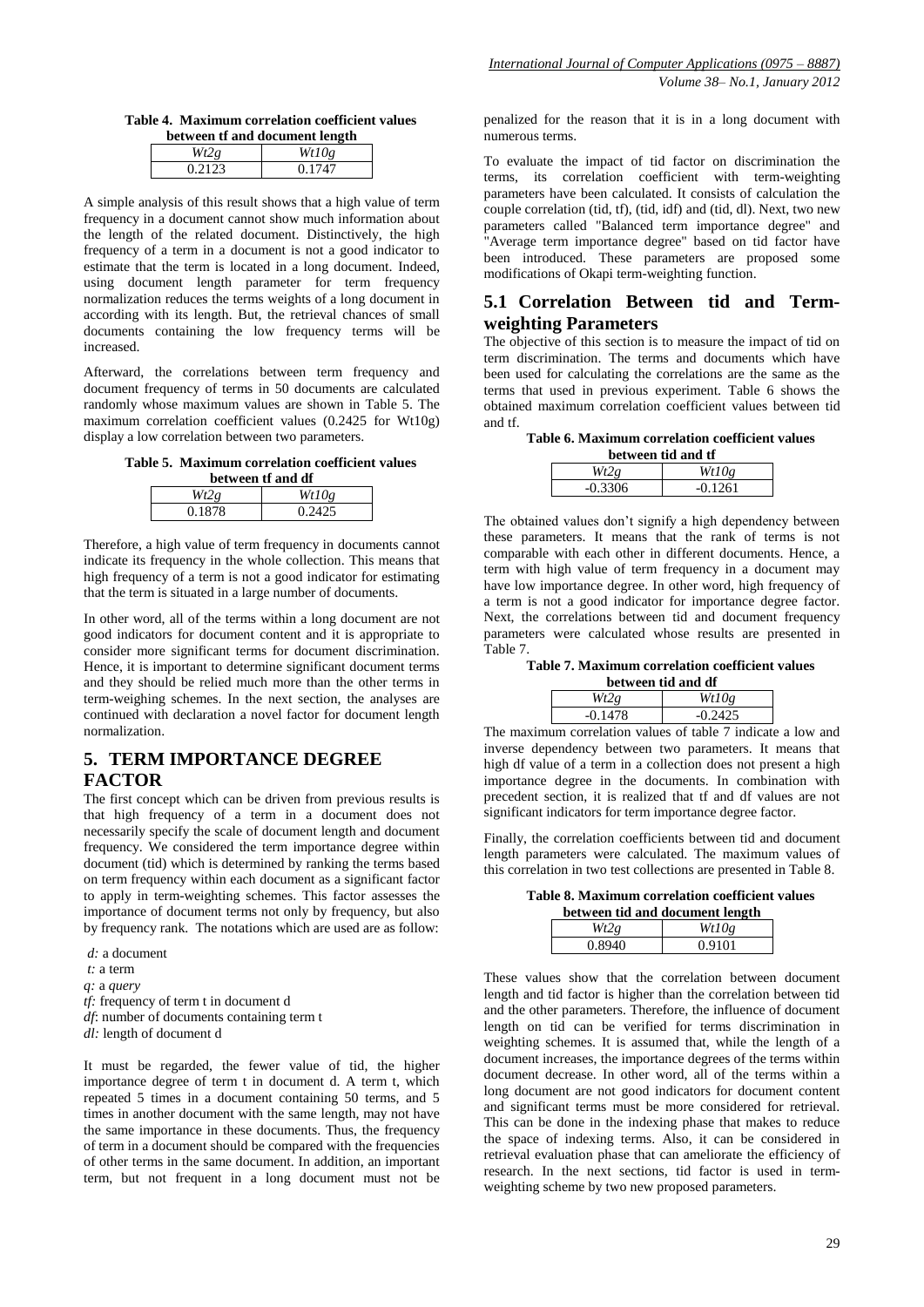**Table 4. Maximum correlation coefficient values between tf and document length**

| $\alpha$ | Wt10e  |  |  |  |
|----------|--------|--|--|--|
| 0.2123   | 0.1747 |  |  |  |
|          |        |  |  |  |

A simple analysis of this result shows that a high value of term frequency in a document cannot show much information about the length of the related document. Distinctively, the high frequency of a term in a document is not a good indicator to estimate that the term is located in a long document. Indeed, using document length parameter for term frequency normalization reduces the terms weights of a long document in according with its length. But, the retrieval chances of small documents containing the low frequency terms will be increased.

Afterward, the correlations between term frequency and document frequency of terms in 50 documents are calculated randomly whose maximum values are shown in Table 5. The maximum correlation coefficient values (0.2425 for Wt10g) display a low correlation between two parameters.

**Table 5. Maximum correlation coefficient values** 

|       | $M_{410}$ |
|-------|-----------|
| 0.187 |           |

Therefore, a high value of term frequency in documents cannot indicate its frequency in the whole collection. This means that high frequency of a term is not a good indicator for estimating that the term is situated in a large number of documents.

In other word, all of the terms within a long document are not good indicators for document content and it is appropriate to consider more significant terms for document discrimination. Hence, it is important to determine significant document terms and they should be relied much more than the other terms in term-weighing schemes. In the next section, the analyses are continued with declaration a novel factor for document length normalization.

# **5. TERM IMPORTANCE DEGREE FACTOR**

The first concept which can be driven from previous results is that high frequency of a term in a document does not necessarily specify the scale of document length and document frequency. We considered the term importance degree within document (tid) which is determined by ranking the terms based on term frequency within each document as a significant factor to apply in term-weighting schemes. This factor assesses the importance of document terms not only by frequency, but also by frequency rank. The notations which are used are as follow:

*d:* a document *t:* a term *q:* a *query tf:* frequency of term t in document d *df*: number of documents containing term t *dl:* length of document d

It must be regarded, the fewer value of tid, the higher importance degree of term t in document d. A term t, which repeated 5 times in a document containing 50 terms, and 5 times in another document with the same length, may not have the same importance in these documents. Thus, the frequency of term in a document should be compared with the frequencies of other terms in the same document. In addition, an important term, but not frequent in a long document must not be

penalized for the reason that it is in a long document with numerous terms.

To evaluate the impact of tid factor on discrimination the terms, its correlation coefficient with term-weighting parameters have been calculated. It consists of calculation the couple correlation (tid, tf), (tid, idf) and (tid, dl). Next, two new parameters called "Balanced term importance degree" and "Average term importance degree" based on tid factor have been introduced. These parameters are proposed some modifications of Okapi term-weighting function.

#### **5.1 Correlation Between tid and Termweighting Parameters**

The objective of this section is to measure the impact of tid on term discrimination. The terms and documents which have been used for calculating the correlations are the same as the terms that used in previous experiment. Table 6 shows the obtained maximum correlation coefficient values between tid and tf.

**Table 6. Maximum correlation coefficient values** 

| between tid and tf   |           |  |  |  |
|----------------------|-----------|--|--|--|
| Wt10g<br>$Wt2\sigma$ |           |  |  |  |
| $-0.3306$            | $-0.1261$ |  |  |  |

The obtained values don't signify a high dependency between these parameters. It means that the rank of terms is not comparable with each other in different documents. Hence, a term with high value of term frequency in a document may have low importance degree. In other word, high frequency of a term is not a good indicator for importance degree factor. Next, the correlations between tid and document frequency parameters were calculated whose results are presented in Table 7.

#### **Table 7. Maximum correlation coefficient values**

| between tid and df |           |  |  |
|--------------------|-----------|--|--|
| Wt2g               | Wt10g     |  |  |
| $-0.1478$          | $-0.2425$ |  |  |

The maximum correlation values of table 7 indicate a low and inverse dependency between two parameters. It means that high df value of a term in a collection does not present a high importance degree in the documents. In combination with precedent section, it is realized that tf and df values are not significant indicators for term importance degree factor.

Finally, the correlation coefficients between tid and document length parameters were calculated. The maximum values of this correlation in two test collections are presented in Table 8.

**Table 8. Maximum correlation coefficient values** 

|        | between tid and document length |
|--------|---------------------------------|
| Wt2g   | Wt10g                           |
| 0.8940 | 0.9101                          |

These values show that the correlation between document length and tid factor is higher than the correlation between tid and the other parameters. Therefore, the influence of document length on tid can be verified for terms discrimination in weighting schemes. It is assumed that, while the length of a document increases, the importance degrees of the terms within document decrease. In other word, all of the terms within a long document are not good indicators for document content and significant terms must be more considered for retrieval. This can be done in the indexing phase that makes to reduce the space of indexing terms. Also, it can be considered in retrieval evaluation phase that can ameliorate the efficiency of research. In the next sections, tid factor is used in termweighting scheme by two new proposed parameters.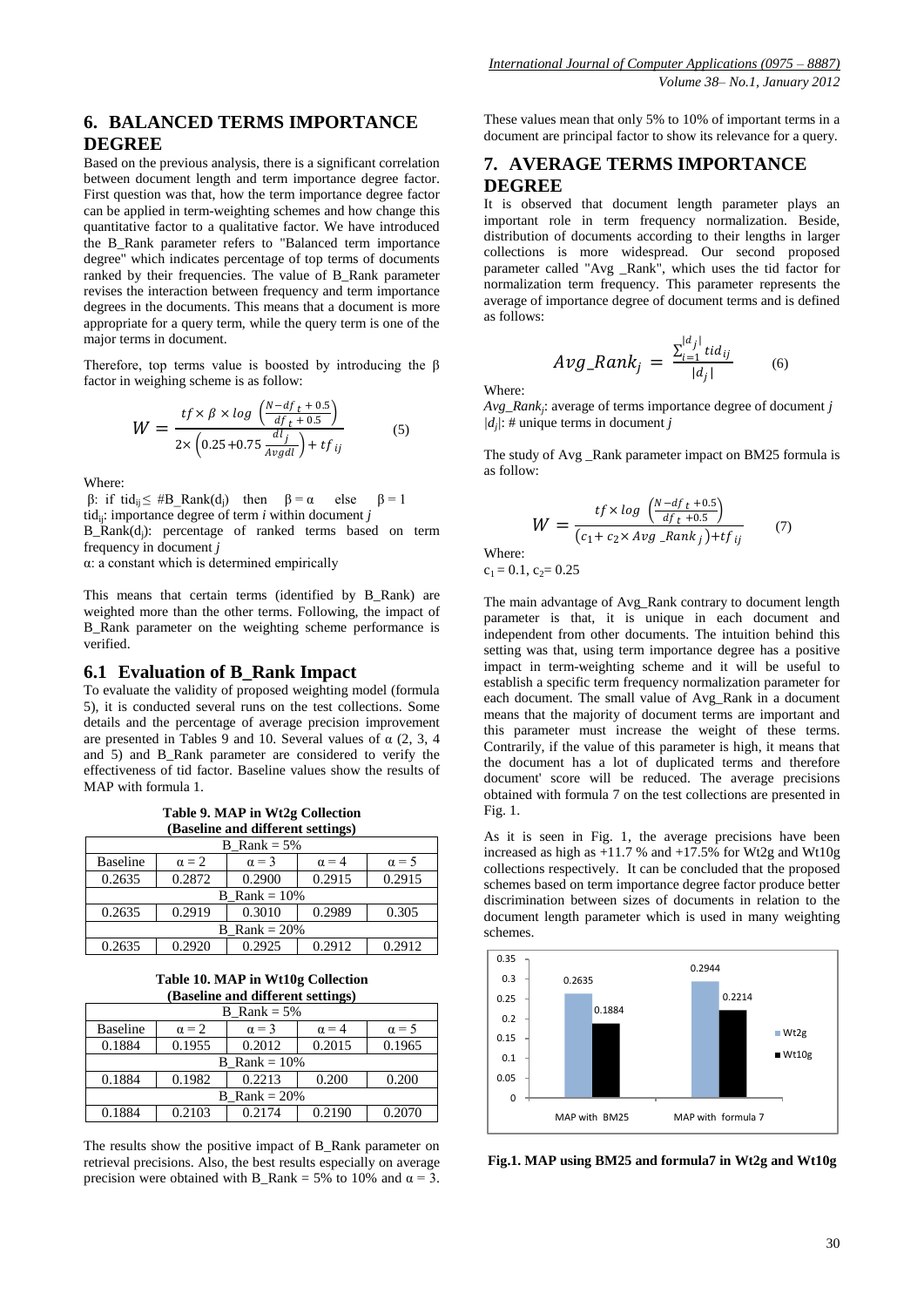Based on the previous analysis, there is a significant correlation between document length and term importance degree factor. First question was that, how the term importance degree factor can be applied in term-weighting schemes and how change this quantitative factor to a qualitative factor. We have introduced the B\_Rank parameter refers to "Balanced term importance degree" which indicates percentage of top terms of documents ranked by their frequencies. The value of B\_Rank parameter revises the interaction between frequency and term importance degrees in the documents. This means that a document is more appropriate for a query term, while the query term is one of the major terms in document.

Therefore, top terms value is boosted by introducing the β factor in weighing scheme is as follow:

$$
W = \frac{tf \times \beta \times \log \left( \frac{N - df_t + 0.5}{df_t + 0.5} \right)}{2 \times \left( 0.25 + 0.75 \frac{dl_j}{Avgdl} \right) + tf_{ij}}
$$
(5)

Where:

β: if tid<sub>ij</sub> ≤ #B\_Rank(d<sub>j</sub>) then  $β = α$  else  $β = 1$ tid<sub>ii</sub>: importance degree of term  $i$  within document  $j$ 

B\_Rank(d<sup>j</sup> ): percentage of ranked terms based on term frequency in document *j*

α: a constant which is determined empirically

This means that certain terms (identified by B\_Rank) are weighted more than the other terms. Following, the impact of B Rank parameter on the weighting scheme performance is verified.

#### **6.1 Evaluation of B\_Rank Impact**

To evaluate the validity of proposed weighting model (formula 5), it is conducted several runs on the test collections. Some details and the percentage of average precision improvement are presented in Tables 9 and 10. Several values of  $\alpha$  (2, 3, 4) and 5) and B\_Rank parameter are considered to verify the effectiveness of tid factor. Baseline values show the results of MAP with formula 1.

**Table 9. MAP in Wt2g Collection (Baseline and different settings)**

| <b>B</b> Rank = $5\%$ |                        |              |              |              |
|-----------------------|------------------------|--------------|--------------|--------------|
| <b>Baseline</b>       | $\alpha = 2$           | $\alpha = 3$ | $\alpha = 4$ | $\alpha = 5$ |
| 0.2635                | 0.2872                 | 0.2900       | 0.2915       | 0.2915       |
|                       | <b>B</b> Rank = $10\%$ |              |              |              |
| 0.2635                | 0.2919                 | 0.3010       | 0.2989       | 0.305        |
| B Rank = $20\%$       |                        |              |              |              |
| 0.2635                | 0.2920                 | 0.2925       | 0.2912       | 0.2912       |

**Table 10. MAP in Wt10g Collection (Baseline and different settings)**

|                 | <b>B</b> Rank = $5\%$ |              |              |              |  |
|-----------------|-----------------------|--------------|--------------|--------------|--|
| <b>Baseline</b> | $\alpha = 2$          | $\alpha = 3$ | $\alpha = 4$ | $\alpha = 5$ |  |
| 0.1884          | 0.1955                | 0.2012       | 0.2015       | 0.1965       |  |
|                 | B Rank = $10\%$       |              |              |              |  |
| 0.1884          | 0.1982                | 0.2213       | 0.200        | 0.200        |  |
| B Rank $= 20\%$ |                       |              |              |              |  |
| 0.1884          | 0.2103                | 0.2174       | 0.2190       | 0.2070       |  |

The results show the positive impact of B\_Rank parameter on retrieval precisions. Also, the best results especially on average precision were obtained with B\_Rank = 5% to 10% and  $\alpha = 3$ . These values mean that only 5% to 10% of important terms in a document are principal factor to show its relevance for a query.

# **7. AVERAGE TERMS IMPORTANCE DEGREE**

It is observed that document length parameter plays an important role in term frequency normalization. Beside, distribution of documents according to their lengths in larger collections is more widespread. Our second proposed parameter called "Avg \_Rank", which uses the tid factor for normalization term frequency. This parameter represents the average of importance degree of document terms and is defined as follows:

$$
Avg\_Rank_j = \frac{\sum_{i=1}^{|d_j|} t i d_{ij}}{|d_j|} \tag{6}
$$

Where:

*Avg\_Rank<sup>j</sup>* : average of terms importance degree of document *j |dj |*: # unique terms in document *j*

The study of Avg \_Rank parameter impact on BM25 formula is as follow:

$$
W = \frac{tf \times \log\left(\frac{N - df_t + 0.5}{df_t + 0.5}\right)}{(c_1 + c_2 \times \text{Avg\_Rank}_j) + tf_{ij}} \tag{7}
$$

Where:  $c_1 = 0.1$ ,  $c_2 = 0.25$ 

The main advantage of Avg\_Rank contrary to document length parameter is that, it is unique in each document and independent from other documents. The intuition behind this setting was that, using term importance degree has a positive impact in term-weighting scheme and it will be useful to establish a specific term frequency normalization parameter for each document. The small value of Avg\_Rank in a document means that the majority of document terms are important and this parameter must increase the weight of these terms. Contrarily, if the value of this parameter is high, it means that the document has a lot of duplicated terms and therefore document' score will be reduced. The average precisions obtained with formula 7 on the test collections are presented in Fig. 1.

As it is seen in Fig. 1, the average precisions have been increased as high as  $+11.7$  % and  $+17.5$ % for Wt2g and Wt10g collections respectively. It can be concluded that the proposed schemes based on term importance degree factor produce better discrimination between sizes of documents in relation to the document length parameter which is used in many weighting schemes.



**Fig.1. MAP using BM25 and formula7 in Wt2g and Wt10g**